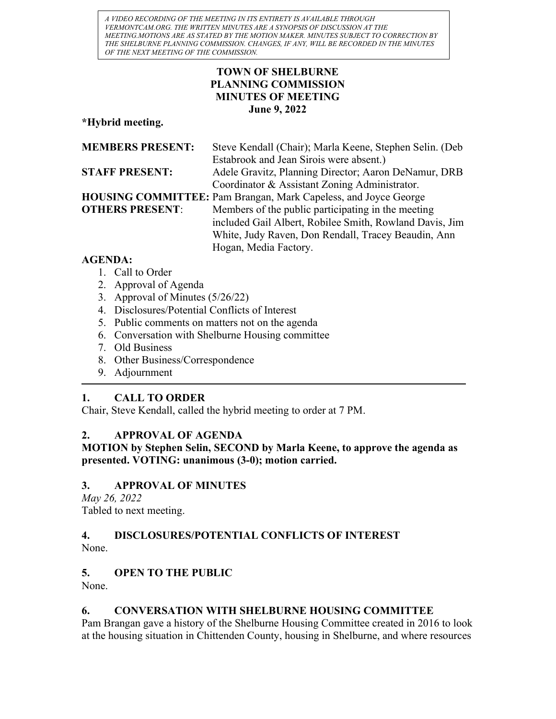A VIDEO RECORDING OF THE MEETING IN ITS ENTIRETY IS AVAILABLE THROUGH VERMONTCAM.ORG. THE WRITTEN MINUTES ARE A SYNOPSIS OF DISCUSSION AT THE MEETING.MOTIONS ARE AS STATED BY THE MOTION MAKER. MINUTES SUBJECT TO CORRECTION BY THE SHELBURNE PLANNING COMMISSION. CHANGES, IF ANY, WILL BE RECORDED IN THE MINUTES OF THE NEXT MEETING OF THE COMMISSION.

## TOWN OF SHELBURNE PLANNING COMMISSION MINUTES OF MEETING June 9, 2022

\*Hybrid meeting.

| <b>MEMBERS PRESENT:</b>                  | Steve Kendall (Chair); Marla Keene, Stephen Selin. (Deb                |
|------------------------------------------|------------------------------------------------------------------------|
|                                          | Estabrook and Jean Sirois were absent.)                                |
| <b>STAFF PRESENT:</b>                    | Adele Gravitz, Planning Director; Aaron DeNamur, DRB                   |
|                                          | Coordinator & Assistant Zoning Administrator.                          |
|                                          | <b>HOUSING COMMITTEE:</b> Pam Brangan, Mark Capeless, and Joyce George |
| <b>OTHERS PRESENT:</b>                   | Members of the public participating in the meeting                     |
|                                          | included Gail Albert, Robilee Smith, Rowland Davis, Jim                |
|                                          | White, Judy Raven, Don Rendall, Tracey Beaudin, Ann                    |
|                                          | Hogan, Media Factory.                                                  |
| $\lambda$ $\sim$ $\sim$ $\sim$ $\lambda$ |                                                                        |

## AGENDA:

- 1. Call to Order
- 2. Approval of Agenda
- 3. Approval of Minutes (5/26/22)
- 4. Disclosures/Potential Conflicts of Interest
- 5. Public comments on matters not on the agenda
- 6. Conversation with Shelburne Housing committee
- 7. Old Business
- 8. Other Business/Correspondence
- 9. Adjournment

# 1. CALL TO ORDER

Chair, Steve Kendall, called the hybrid meeting to order at 7 PM.

# 2. APPROVAL OF AGENDA

MOTION by Stephen Selin, SECOND by Marla Keene, to approve the agenda as presented. VOTING: unanimous (3-0); motion carried.

# 3. APPROVAL OF MINUTES

May 26, 2022 Tabled to next meeting.

# 4. DISCLOSURES/POTENTIAL CONFLICTS OF INTEREST

None.

# 5. OPEN TO THE PUBLIC

None.

# 6. CONVERSATION WITH SHELBURNE HOUSING COMMITTEE

Pam Brangan gave a history of the Shelburne Housing Committee created in 2016 to look at the housing situation in Chittenden County, housing in Shelburne, and where resources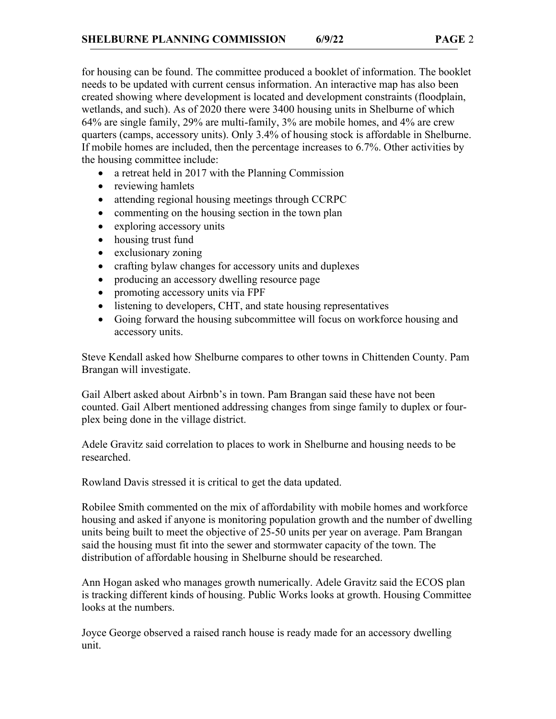for housing can be found. The committee produced a booklet of information. The booklet needs to be updated with current census information. An interactive map has also been created showing where development is located and development constraints (floodplain, wetlands, and such). As of 2020 there were 3400 housing units in Shelburne of which 64% are single family, 29% are multi-family, 3% are mobile homes, and 4% are crew quarters (camps, accessory units). Only 3.4% of housing stock is affordable in Shelburne. If mobile homes are included, then the percentage increases to 6.7%. Other activities by the housing committee include:

- a retreat held in 2017 with the Planning Commission
- reviewing hamlets
- attending regional housing meetings through CCRPC
- commenting on the housing section in the town plan
- exploring accessory units
- housing trust fund
- exclusionary zoning
- crafting bylaw changes for accessory units and duplexes
- producing an accessory dwelling resource page
- promoting accessory units via FPF
- listening to developers, CHT, and state housing representatives
- Going forward the housing subcommittee will focus on workforce housing and accessory units.

Steve Kendall asked how Shelburne compares to other towns in Chittenden County. Pam Brangan will investigate.

Gail Albert asked about Airbnb's in town. Pam Brangan said these have not been counted. Gail Albert mentioned addressing changes from singe family to duplex or fourplex being done in the village district.

Adele Gravitz said correlation to places to work in Shelburne and housing needs to be researched.

Rowland Davis stressed it is critical to get the data updated.

Robilee Smith commented on the mix of affordability with mobile homes and workforce housing and asked if anyone is monitoring population growth and the number of dwelling units being built to meet the objective of 25-50 units per year on average. Pam Brangan said the housing must fit into the sewer and stormwater capacity of the town. The distribution of affordable housing in Shelburne should be researched.

Ann Hogan asked who manages growth numerically. Adele Gravitz said the ECOS plan is tracking different kinds of housing. Public Works looks at growth. Housing Committee looks at the numbers.

Joyce George observed a raised ranch house is ready made for an accessory dwelling unit.